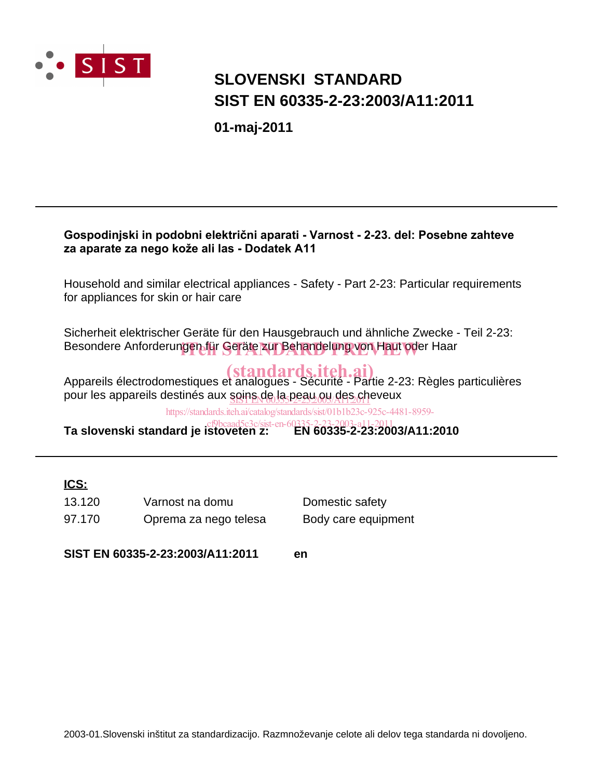

## **SIST EN 60335-2-23:2003/A11:2011 SLOVENSKI STANDARD**

**01-maj-2011**

### Gospodinjski in podobni električni aparati - Varnost - 2-23. del: Posebne zahteve za aparate za nego kože ali las - Dodatek A11

Household and similar electrical appliances - Safety - Part 2-23: Particular requirements for appliances for skin or hair care

Sicherheit elektrischer Geräte für den Hausgebrauch und ähnliche Zwecke - Teil 2-23: Besondere Anforderungen für Geräte zur Behandelung von Haut oder Haar

Appareils électrodomestiques et analogues - Sécurité - Partie 2-23: Règles particulières pour les appareils destinés aux <u>soins de la peau ou des ch</u>eveux

https://standards.iteh.ai/catalog/standards/sist/01b1b23c-925c-4481-8959-

**Ta slovenski standard je istoveten z: EN 60335-2-23:2003/A11:2010** cf9bcaad5c3c/sist-en-60335-2-23-2003-a11-2011

### **ICS:**

97.170 Oprema za nego telesa Body care equipment 13.120 Varnost na domu Domestic safety

**SIST EN 60335-2-23:2003/A11:2011 en**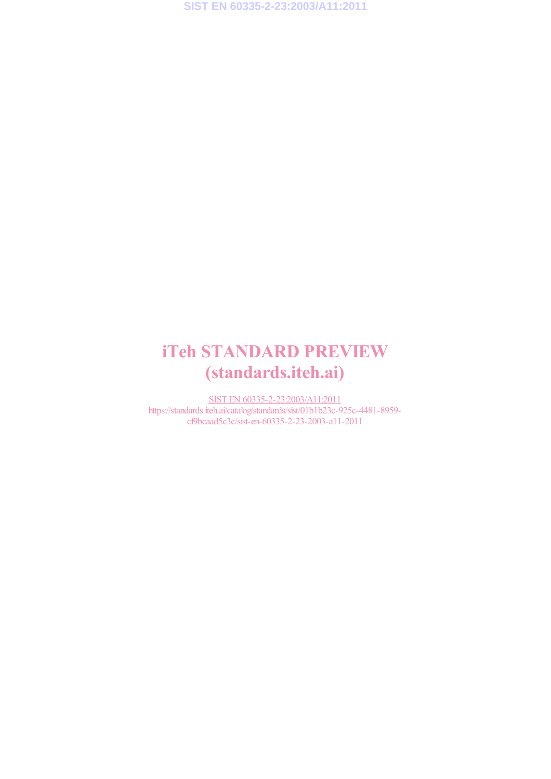**SIST EN 60335-2-23:2003/A11:2011**

## iTeh STANDARD PREVIEW (standards.iteh.ai)

SIST EN 60335-2-23:2003/A11:2011 https://standards.iteh.ai/catalog/standards/sist/01b1b23c-925c-4481-8959 cf9bcaad5c3c/sist-en-60335-2-23-2003-a11-2011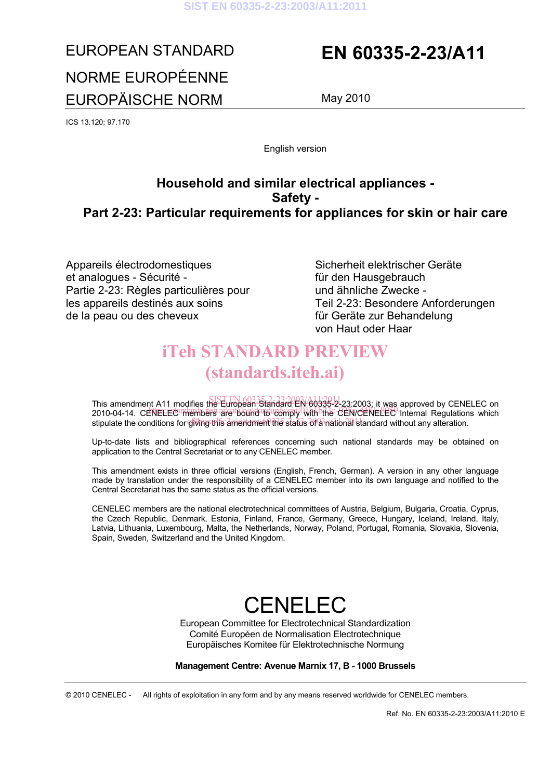## EUROPEAN STANDARD **EN 60335-2-23/A11** NORME EUROPÉENNE EUROPÄISCHE NORM May 2010

ICS 13.120; 97.170

English version

### **Household and similar electrical appliances - Safety - Part 2-23: Particular requirements for appliances for skin or hair care**

Appareils électrodomestiques et analogues - Sécurité - Partie 2-23: Règles particulières pour les appareils destinés aux soins de la peau ou des cheveux

 Sicherheit elektrischer Geräte für den Hausgebrauch und ähnliche Zwecke - Teil 2-23: Besondere Anforderungen für Geräte zur Behandelung von Haut oder Haar

## iTeh STANDARD PREVIEW (standards.iteh.ai)

This amendment A11 modifies the European Standard EN 60335-2-23:2003; it was approved by CENELEC on The amendment of medicine are Edispody orthography (With the CEN/CENELEC) Internal Regulations which stipulate the conditions for giving this amendment the status of a national standard without any alteration.

Up-to-date lists and bibliographical references concerning such national standards may be obtained on application to the Central Secretariat or to any CENELEC member.

This amendment exists in three official versions (English, French, German). A version in any other language made by translation under the responsibility of a CENELEC member into its own language and notified to the Central Secretariat has the same status as the official versions.

CENELEC members are the national electrotechnical committees of Austria, Belgium, Bulgaria, Croatia, Cyprus, the Czech Republic, Denmark, Estonia, Finland, France, Germany, Greece, Hungary, Iceland, Ireland, Italy, Latvia, Lithuania, Luxembourg, Malta, the Netherlands, Norway, Poland, Portugal, Romania, Slovakia, Slovenia, Spain, Sweden, Switzerland and the United Kingdom.

# **CENELEC**

European Committee for Electrotechnical Standardization Comité Européen de Normalisation Electrotechnique Europäisches Komitee für Elektrotechnische Normung

### **Management Centre: Avenue Marnix 17, B - 1000 Brussels**

© 2010 CENELEC - All rights of exploitation in any form and by any means reserved worldwide for CENELEC members.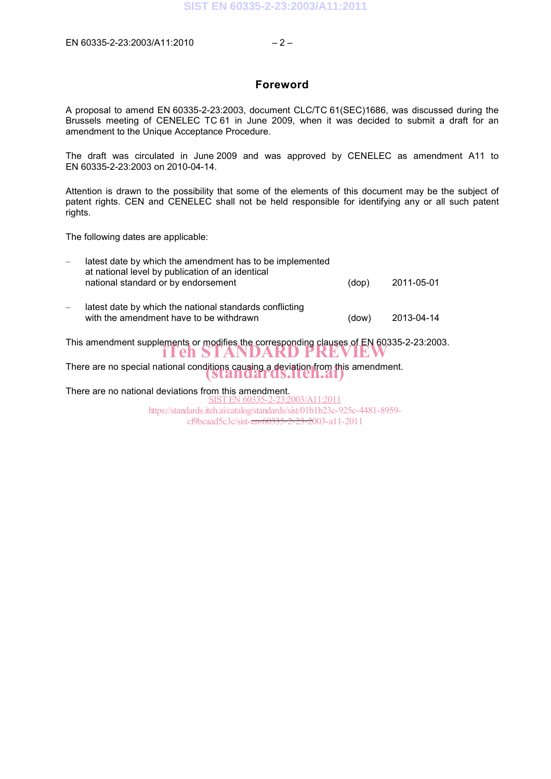### **Foreword**

A proposal to amend EN 60335-2-23:2003, document CLC/TC 61(SEC)1686, was discussed during the Brussels meeting of CENELEC TC 61 in June 2009, when it was decided to submit a draft for an amendment to the Unique Acceptance Procedure.

The draft was circulated in June 2009 and was approved by CENELEC as amendment A11 to EN 60335-2-23:2003 on 2010-04-14.

Attention is drawn to the possibility that some of the elements of this document may be the subject of patent rights. CEN and CENELEC shall not be held responsible for identifying any or all such patent rights.

The following dates are applicable:

|                                                                                                                  | latest date by which the amendment has to be implemented<br>at national level by publication of an identical |       |            |  |
|------------------------------------------------------------------------------------------------------------------|--------------------------------------------------------------------------------------------------------------|-------|------------|--|
|                                                                                                                  | national standard or by endorsement                                                                          | (dop) | 2011-05-01 |  |
|                                                                                                                  | latest date by which the national standards conflicting                                                      |       |            |  |
|                                                                                                                  | with the amendment have to be withdrawn                                                                      | (dow) | 2013-04-14 |  |
| This amendment supplements or modifies the corresponding clauses of EN 60335-2-23:2003.<br>THEN STANDARD PREVIEW |                                                                                                              |       |            |  |
|                                                                                                                  |                                                                                                              |       |            |  |
| There are no special national conditions causing a deviation from this amendment.                                |                                                                                                              |       |            |  |
| There are no national deviations from this amendment.<br>N 60335-2-23:2003/A11:2011                              |                                                                                                              |       |            |  |
| https://standards.iteh.ai/catalog/standards/sist/01b1b23c-925c-4481-8959-                                        |                                                                                                              |       |            |  |
| cf9bcaad5c3c/sist- <del>en-60335-2-23-2</del> 003-a11-2011                                                       |                                                                                                              |       |            |  |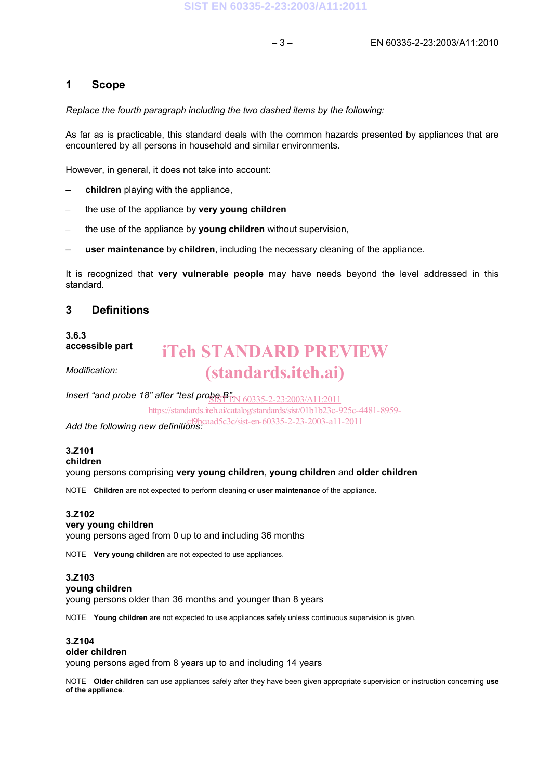### **1 Scope**

*Replace the fourth paragraph including the two dashed items by the following:* 

As far as is practicable, this standard deals with the common hazards presented by appliances that are encountered by all persons in household and similar environments.

However, in general, it does not take into account:

- **children** playing with the appliance,
- the use of the appliance by **very young children**
- the use of the appliance by **young children** without supervision,
- **user maintenance** by **children**, including the necessary cleaning of the appliance.

It is recognized that **very vulnerable people** may have needs beyond the level addressed in this standard.

### **3 Definitions**

**3.6.3 accessible part** 

## iTeh STANDARD PREVIEW (standards.iteh.ai)

*Modification:* 

*Insert "and probe 18" after "test probe B".*  SIST EN 60335-2-23:2003/A11:2011

https://standards.iteh.ai/catalog/standards/sist/01b1b23c-925c-4481-8959-

Add the following new definitions: *phcaad5c3c/sist-en-60335-2-23-2003-a11-2011* 

### **3.Z101**

**children** 

young persons comprising **very young children**, **young children** and **older children** 

NOTE **Children** are not expected to perform cleaning or **user maintenance** of the appliance.

### **3.Z102**

### **very young children**

young persons aged from 0 up to and including 36 months

NOTE **Very young children** are not expected to use appliances.

### **3.Z103**

**young children** 

young persons older than 36 months and younger than 8 years

NOTE **Young children** are not expected to use appliances safely unless continuous supervision is given.

### **3.Z104**

**older children** 

young persons aged from 8 years up to and including 14 years

NOTE **Older children** can use appliances safely after they have been given appropriate supervision or instruction concerning **use of the appliance**.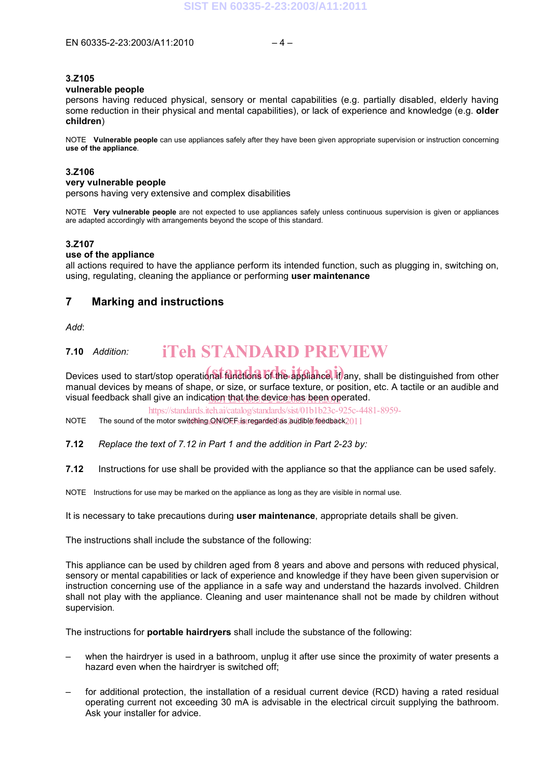## **3.Z105**

### **vulnerable people**

persons having reduced physical, sensory or mental capabilities (e.g. partially disabled, elderly having some reduction in their physical and mental capabilities), or lack of experience and knowledge (e.g. **older children**)

NOTE **Vulnerable people** can use appliances safely after they have been given appropriate supervision or instruction concerning **use of the appliance**.

### **3.Z106**

#### **very vulnerable people**

persons having very extensive and complex disabilities

NOTE **Very vulnerable people** are not expected to use appliances safely unless continuous supervision is given or appliances are adapted accordingly with arrangements beyond the scope of this standard.

### **3.Z107**

### **use of the appliance**

all actions required to have the appliance perform its intended function, such as plugging in, switching on, using, regulating, cleaning the appliance or performing **user maintenance**

### **7 Marking and instructions**

*Add*:

#### **7.10** *Addition:*  iTeh STANDARD PREVIEW

Devices used to start/stop operational functions of the appliance, if any, shall be distinguished from other manual devices by means of shape, or size, or surface texture, or position, etc. A tactile or an audible and visual feedback shall give an indica<u>tion that the device has been op</u>erated.

https://standards.iteh.ai/catalog/standards/sist/01b1b23c-925c-4481-8959-

NOTE The sound of the motor switching QN/OFF is regarded as audible feedback 2011

**7.12** *Replace the text of 7.12 in Part 1 and the addition in Part 2-23 by:* 

**7.12** Instructions for use shall be provided with the appliance so that the appliance can be used safely.

NOTE Instructions for use may be marked on the appliance as long as they are visible in normal use.

It is necessary to take precautions during **user maintenance**, appropriate details shall be given.

The instructions shall include the substance of the following:

This appliance can be used by children aged from 8 years and above and persons with reduced physical, sensory or mental capabilities or lack of experience and knowledge if they have been given supervision or instruction concerning use of the appliance in a safe way and understand the hazards involved. Children shall not play with the appliance. Cleaning and user maintenance shall not be made by children without supervision*.* 

The instructions for **portable hairdryers** shall include the substance of the following:

- when the hairdryer is used in a bathroom, unplug it after use since the proximity of water presents a hazard even when the hairdryer is switched off;
- for additional protection, the installation of a residual current device (RCD) having a rated residual operating current not exceeding 30 mA is advisable in the electrical circuit supplying the bathroom. Ask your installer for advice.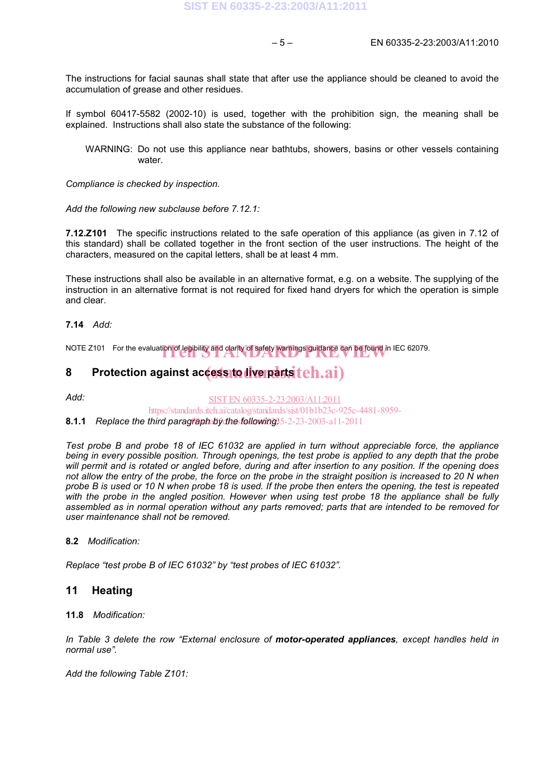The instructions for facial saunas shall state that after use the appliance should be cleaned to avoid the accumulation of grease and other residues.

If symbol 60417-5582 (2002-10) is used, together with the prohibition sign, the meaning shall be explained. Instructions shall also state the substance of the following:

WARNING: Do not use this appliance near bathtubs, showers, basins or other vessels containing water

*Compliance is checked by inspection.* 

*Add the following new subclause before 7.12.1:* 

**7.12.Z101** The specific instructions related to the safe operation of this appliance (as given in 7.12 of this standard) shall be collated together in the front section of the user instructions. The height of the characters, measured on the capital letters, shall be at least 4 mm.

These instructions shall also be available in an alternative format, e.g. on a website. The supplying of the instruction in an alternative format is not required for fixed hand dryers for which the operation is simple and clear.

### **7.14** *Add:*

NOTE  $Z101$  For the evaluation of legibility and clarity of safety warnings guidance can be found in IEC 62079.

## 8 Protection against accessito diverpartsiteh.ai)

*Add:*  SIST EN 60335-2-23:2003/A11:2011 https://standards.iteh.ai/catalog/standards/sist/01b1b23c-925c-4481-8959-

8.1.1 Replace the third paragraph by the following: 5-2-23-2003-a11-2011

*Test probe B and probe 18 of IEC 61032 are applied in turn without appreciable force, the appliance being in every possible position. Through openings, the test probe is applied to any depth that the probe will permit and is rotated or angled before, during and after insertion to any position. If the opening does not allow the entry of the probe, the force on the probe in the straight position is increased to 20 N when probe B is used or 10 N when probe 18 is used. If the probe then enters the opening, the test is repeated with the probe in the angled position. However when using test probe 18 the appliance shall be fully assembled as in normal operation without any parts removed; parts that are intended to be removed for user maintenance shall not be removed.* 

### **8.2** *Modification:*

*Replace "test probe B of IEC 61032" by "test probes of IEC 61032".* 

### **11 Heating**

#### **11.8** *Modification:*

*In Table 3 delete the row "External enclosure of motor-operated appliances, except handles held in normal use".* 

*Add the following Table Z101:*